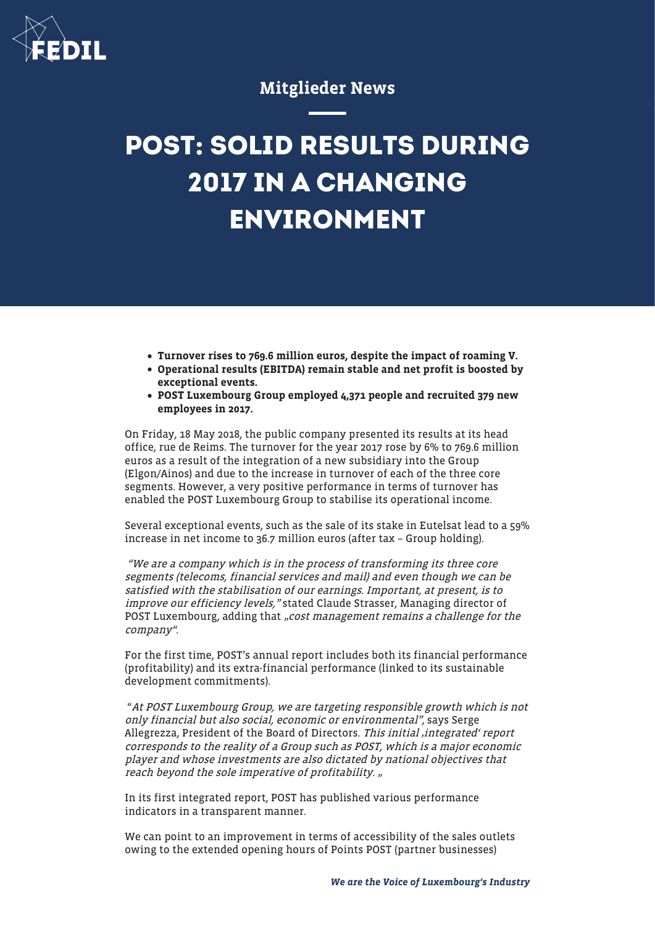

## Mitglieder News

# **POST: SOLID RESULTS DURING 2017 IN A CHANGING ENVIRONMENT**

- Turnover rises to 769.6 million euros, despite the impact of roaming V.
- Operational results (EBITDA) remain stable and net profit is boosted by exceptional events.
- POST Luxembourg Group employed 4,371 people and recruited 379 new employees in 2017.

On Friday, 18 May 2018, the public company presented its results at its head office, rue de Reims. The turnover for the year 2017 rose by 6% to 769.6 million euros as a result of the integration of a new subsidiary into the Group (Elgon/Ainos) and due to the increase in turnover of each of the three core segments. However, a very positive performance in terms of turnover has enabled the POST Luxembourg Group to stabilise its operational income.

Several exceptional events, such as the sale of its stake in Eutelsat lead to a 59% increase in net income to 36.7 million euros (after tax – Group holding).

 "We are a company which is in the process of transforming its three core segments (telecoms, financial services and mail) and even though we can be satisfied with the stabilisation of our earnings. Important, at present, is to improve our efficiency levels," stated Claude Strasser, Managing director of POST Luxembourg, adding that "cost management remains a challenge for the company".

For the first time, POST's annual report includes both its financial performance (profitability) and its extra-financial performance (linked to its sustainable development commitments).

"At POST Luxembourg Group, we are targeting responsible growth which is not only financial but also social, economic or environmental", says Serge Allegrezza, President of the Board of Directors. This initial, integrated' report corresponds to the reality of a Group such as POST, which is a major economic player and whose investments are also dictated by national objectives that reach beyond the sole imperative of profitability. "

In its first integrated report, POST has published various performance indicators in a transparent manner.

We can point to an improvement in terms of accessibility of the sales outlets owing to the extended opening hours of Points POST (partner businesses)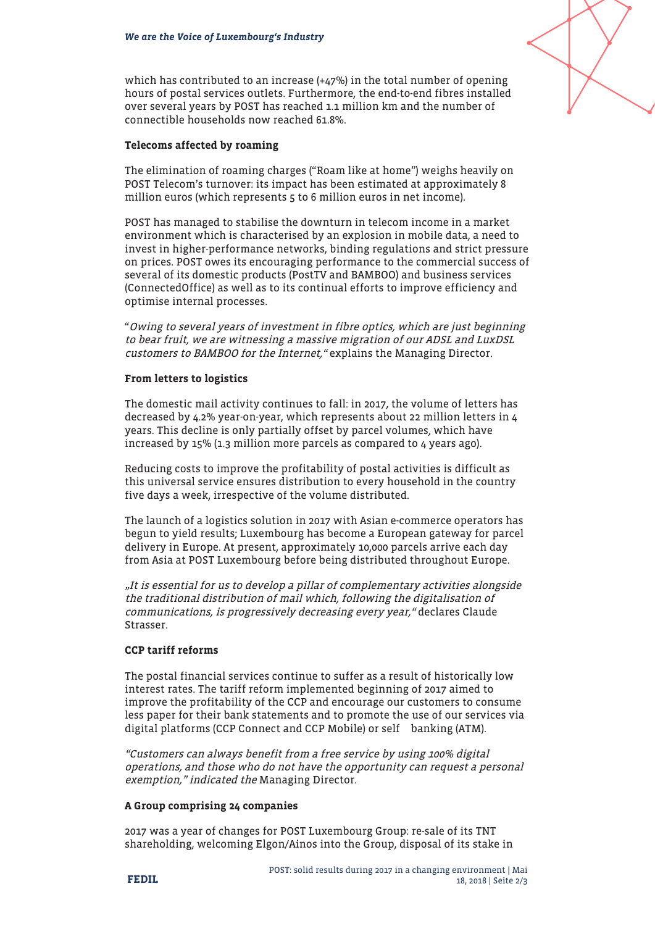

which has contributed to an increase  $(+47%)$  in the total number of opening hours of postal services outlets. Furthermore, the end-to-end fibres installed over several years by POST has reached 1.1 million km and the number of connectible households now reached 61.8%.

#### Telecoms affected by roaming

The elimination of roaming charges ("Roam like at home") weighs heavily on POST Telecom's turnover: its impact has been estimated at approximately 8 million euros (which represents 5 to 6 million euros in net income).

POST has managed to stabilise the downturn in telecom income in a market environment which is characterised by an explosion in mobile data, a need to invest in higher-performance networks, binding regulations and strict pressure on prices. POST owes its encouraging performance to the commercial success of several of its domestic products (PostTV and BAMBOO) and business services (ConnectedOffice) as well as to its continual efforts to improve efficiency and optimise internal processes.

"Owing to several years of investment in fibre optics, which are just beginning to bear fruit, we are witnessing a massive migration of our ADSL and LuxDSL customers to BAMBOO for the Internet, "explains the Managing Director.

#### From letters to logistics

The domestic mail activity continues to fall: in 2017, the volume of letters has decreased by 4.2% year-on-year, which represents about 22 million letters in 4 years. This decline is only partially offset by parcel volumes, which have increased by 15% (1.3 million more parcels as compared to 4 years ago).

Reducing costs to improve the profitability of postal activities is difficult as this universal service ensures distribution to every household in the country five days a week, irrespective of the volume distributed.

The launch of a logistics solution in 2017 with Asian e-commerce operators has begun to yield results; Luxembourg has become a European gateway for parcel delivery in Europe. At present, approximately 10,000 parcels arrive each day from Asia at POST Luxembourg before being distributed throughout Europe.

"It is essential for us to develop a pillar of complementary activities alongside the traditional distribution of mail which, following the digitalisation of communications, is progressively decreasing every year," declares Claude Strasser.

### CCP tariff reforms

The postal financial services continue to suffer as a result of historically low interest rates. The tariff reform implemented beginning of 2017 aimed to improve the profitability of the CCP and encourage our customers to consume less paper for their bank statements and to promote the use of our services via digital platforms (CCP Connect and CCP Mobile) or self banking (ATM).

"Customers can always benefit from a free service by using 100% digital operations, and those who do not have the opportunity can request a personal exemption," indicated the Managing Director.

#### A Group comprising 24 companies

2017 was a year of changes for POST Luxembourg Group: re-sale of its TNT shareholding, welcoming Elgon/Ainos into the Group, disposal of its stake in